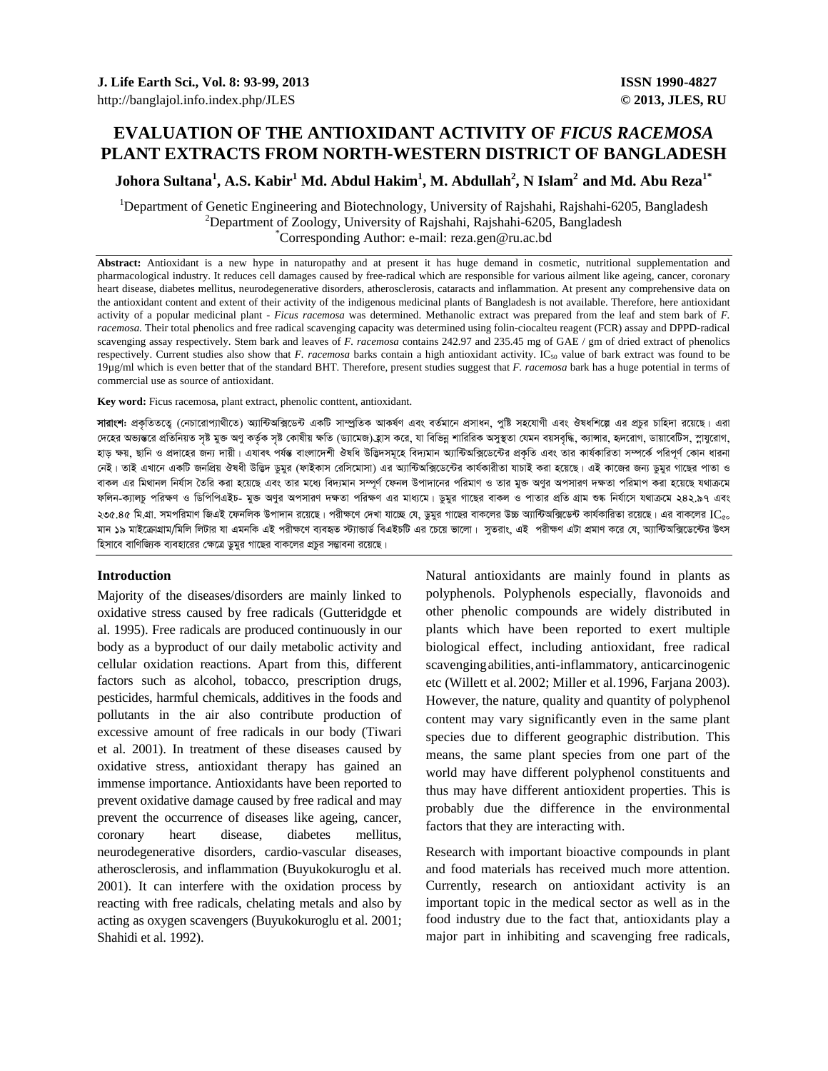# **EVALUATION OF THE ANTIOXIDANT ACTIVITY OF** *FICUS RACEMOSA* **PLANT EXTRACTS FROM NORTH-WESTERN DISTRICT OF BANGLADESH**

 $\bf{J}$ ohora Sultana $^1$ , A.S. Kabir $^1$  Md. Abdul Hakim $^1$ , M. Abdullah $^2$ , N Islam $^2$  and Md. Abu Reza $^{1^\ast}$ 

<sup>1</sup>Department of Genetic Engineering and Biotechnology, University of Rajshahi, Rajshahi-6205, Bangladesh <sup>2</sup>Department of Zoology, University of Bajababi, *G*06, Bangladesh <sup>2</sup>Department of Zoology, University of Rajshahi, Rajshahi-6205, Bangladesh Corresponding Author: e-mail: reza.gen@ru.ac.bd

**Abstract:** Antioxidant is a new hype in naturopathy and at present it has huge demand in cosmetic, nutritional supplementation and pharmacological industry. It reduces cell damages caused by free-radical which are responsible for various ailment like ageing, cancer, coronary heart disease, diabetes mellitus, neurodegenerative disorders, atherosclerosis, cataracts and inflammation. At present any comprehensive data on the antioxidant content and extent of their activity of the indigenous medicinal plants of Bangladesh is not available. Therefore, here antioxidant activity of a popular medicinal plant - *Ficus racemosa* was determined. Methanolic extract was prepared from the leaf and stem bark of *F. racemosa.* Their total phenolics and free radical scavenging capacity was determined using folin-ciocalteu reagent (FCR) assay and DPPD-radical scavenging assay respectively. Stem bark and leaves of *F. racemosa* contains 242.97 and 235.45 mg of GAE / gm of dried extract of phenolics respectively. Current studies also show that *F. racemosa* barks contain a high antioxidant activity. IC<sub>50</sub> value of bark extract was found to be 19µg/ml which is even better that of the standard BHT. Therefore, present studies suggest that *F. racemosa* bark has a huge potential in terms of commercial use as source of antioxidant.

**Key word:** Ficus racemosa, plant extract, phenolic conttent, antioxidant.

**সারাংশ:** প্রকৃতিতত্ত্বে (নেচারোপ্যাথীতে) অ্যান্টিঅক্সিডেন্ট একটি সাম্প্রতিক আকর্ষণ এবং বর্তমাণ, পুষ্টি সহযোগী এবং ঔষধশিল্পে এর প্রচুর চাহিদা রয়েছে। এরা দেহের অভ্যন্তরে প্রতিনিয়ত সৃষ্ট মুক্ত অণু কর্তৃক সৃষ্ট কোষীয় কভি (ড্যামেজ) হ্রাস করে, যা বিভিন্ন শারিরিক অসুস্থতা যেমন বয়সবৃদ্ধি, ক্যাপার, হৃদরোগ, ডায়াবেটিস, স্লাযুরোগ, হাড় ক্ষয়, ছানি ও প্ৰদাহের জন্য দায়ী। এযাবৎ পর্যন্ত বাংলাদেশী ঔষধি উদ্ভিদসমূহে বিদ্যমান অ্যান্টিঅক্টিকের প্রকৃত এবং তার কার্যকারিতা সম্পর্কে পরিপূর্ণ কোন ধারনা নেই। তাই এখানে একটি জনপ্ৰিয় ঔষধী উদ্ভিদ ডমুর (ফাইকাস রেসিমোসা) এর অ্যান্টিঅক্সিডেন্টের কার্যকারীতা যাচাই করা হয়েছে। এই কাজের জন্য ডমুর গাছের পাতা ও বাকল এর মিথানল নির্যাস তৈরি করা হয়েছে এবং তার মধ্যে বিদ্যমান সম্পূর্ণ ফেনল উপাদানের পরিমাণ ও তার মুক্ত অণুর অপসারণ দক্ষতা পরিমাপ করা হয়েছে যথাক্রমে ফলিন-ক্যালচু পরিক্ষণ ও ডিপিপিএইচ- মুক্ত অণুর অপসারণ দক্ষতা পরিক্ষণ এর মাধ্যমে। ডুমুর গাছের বাকল ও পাতার প্রতি গাম শুষ্ক নির্যাসে যথাক্রমে ২৪২.৯৭ এবং ২৩৫.৪৫ মি.গ্রা. সমপরিমাণ জিএই ফেনলিক উপাদান রয়েছে। পরীক্ষণে দেখা যাচ্ছে যে, ডুমুর গাছের বাকলের উচ্চ অ্যন্টিঅক্সিডেন্ট কার্যকারিতা রয়েছে। এর বাকলের IC $_{\alpha}$ মান ১৯ মাইক্রোগ্রাম/মিলি লিটার যা এমনকি এই পরীক্ষণে ব্যবহৃত স্ট্যান্ডৰ্ছ বিএইচটি এর চেয়ে ভালো। সতরাং, এই পরীক্ষণ এটা প্রমাণ করে যে, অ্যান্টিঅক্সিডেন্টের উৎস হিসাবে বাণিজ্যিক ব্যবহারের ক্ষেত্রে ডুমুর গাছের বাকলের প্রচুর সম্ভাবনা রয়েছে।

#### **Introduction**

Majority of the diseases/disorders are mainly linked to oxidative stress caused by free radicals (Gutteridgde et al. 1995). Free radicals are produced continuously in our body as a byproduct of our daily metabolic activity and cellular oxidation reactions. Apart from this, different factors such as alcohol, tobacco, prescription drugs, pesticides, harmful chemicals, additives in the foods and pollutants in the air also contribute production of excessive amount of free radicals in our body (Tiwari et al. 2001). In treatment of these diseases caused by oxidative stress, antioxidant therapy has gained an immense importance. Antioxidants have been reported to prevent oxidative damage caused by free radical and may prevent the occurrence of diseases like ageing, cancer, coronary heart disease, diabetes mellitus, neurodegenerative disorders, cardio-vascular diseases, atherosclerosis, and inflammation (Buyukokuroglu et al. 2001). It can interfere with the oxidation process by reacting with free radicals, chelating metals and also by acting as oxygen scavengers (Buyukokuroglu et al. 2001; Shahidi et al. 1992).

Natural antioxidants are mainly found in plants as polyphenols. Polyphenols especially, flavonoids and other phenolic compounds are widely distributed in plants which have been reported to exert multiple biological effect, including antioxidant, free radical scavengingabilities,anti-inflammatory, anticarcinogenic etc (Willett et al. 2002; Miller et al.1996, Farjana 2003). However, the nature, quality and quantity of polyphenol content may vary significantly even in the same plant species due to different geographic distribution. This means, the same plant species from one part of the world may have different polyphenol constituents and thus may have different antioxident properties. This is probably due the difference in the environmental factors that they are interacting with.

Research with important bioactive compounds in plant and food materials has received much more attention. Currently, research on antioxidant activity is an important topic in the medical sector as well as in the food industry due to the fact that, antioxidants play a major part in inhibiting and scavenging free radicals,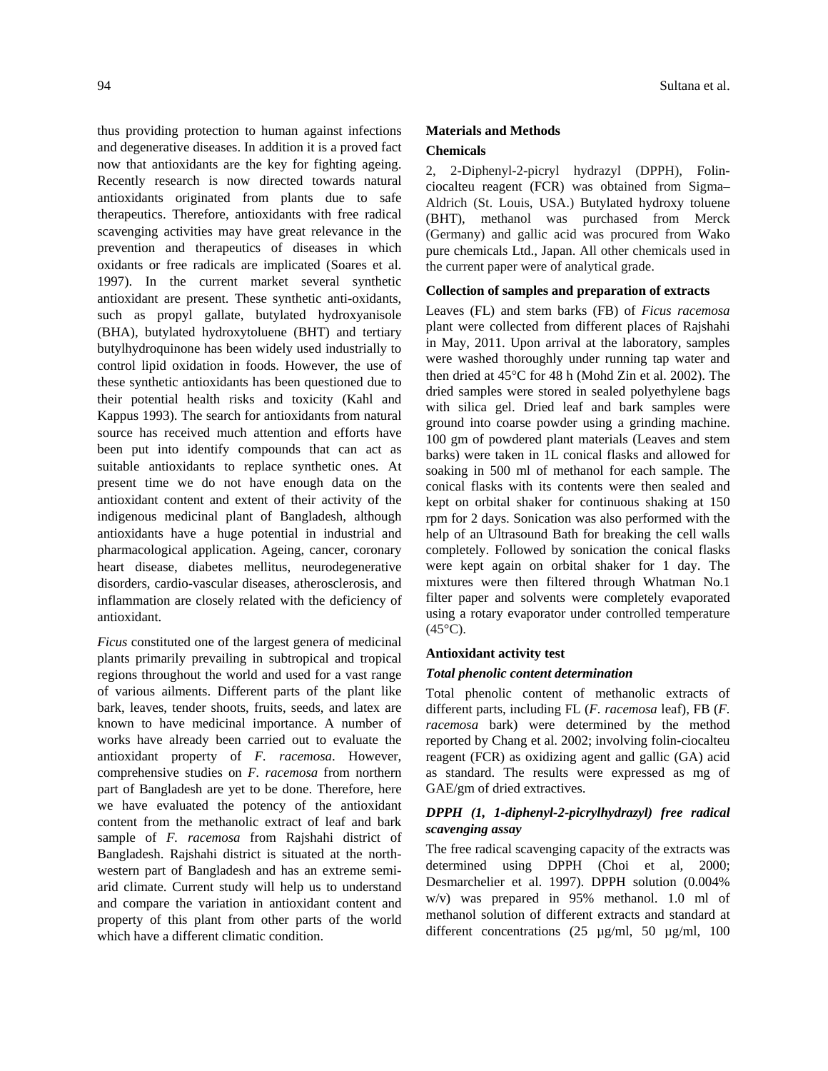thus providing protection to human against infections and degenerative diseases. In addition it is a proved fact now that antioxidants are the key for fighting ageing. Recently research is now directed towards natural antioxidants originated from plants due to safe therapeutics. Therefore, antioxidants with free radical scavenging activities may have great relevance in the prevention and therapeutics of diseases in which oxidants or free radicals are implicated (Soares et al. 1997). In the current market several synthetic antioxidant are present. These synthetic anti-oxidants, such as propyl gallate, butylated hydroxyanisole (BHA), butylated hydroxytoluene (BHT) and tertiary butylhydroquinone has been widely used industrially to control lipid oxidation in foods. However, the use of these synthetic antioxidants has been questioned due to their potential health risks and toxicity (Kahl and Kappus 1993). The search for antioxidants from natural source has received much attention and efforts have been put into identify compounds that can act as suitable antioxidants to replace synthetic ones. At present time we do not have enough data on the antioxidant content and extent of their activity of the indigenous medicinal plant of Bangladesh, although antioxidants have a huge potential in industrial and pharmacological application. Ageing, cancer, coronary heart disease, diabetes mellitus, neurodegenerative disorders, cardio-vascular diseases, atherosclerosis, and inflammation are closely related with the deficiency of antioxidant.

*Ficus* constituted one of the largest genera of medicinal plants primarily prevailing in subtropical and tropical regions throughout the world and used for a vast range of various ailments. Different parts of the plant like bark, leaves, tender shoots, fruits, seeds, and latex are known to have medicinal importance. A number of works have already been carried out to evaluate the antioxidant property of *F. racemosa*. However, comprehensive studies on *F. racemosa* from northern part of Bangladesh are yet to be done. Therefore, here we have evaluated the potency of the antioxidant content from the methanolic extract of leaf and bark sample of *F. racemosa* from Rajshahi district of Bangladesh. Rajshahi district is situated at the northwestern part of Bangladesh and has an extreme semiarid climate. Current study will help us to understand and compare the variation in antioxidant content and property of this plant from other parts of the world which have a different climatic condition.

### **Materials and Methods**

### **Chemicals**

2, 2-Diphenyl-2-picryl hydrazyl (DPPH), Folinciocalteu reagent (FCR) was obtained from Sigma– Aldrich (St. Louis, USA.) Butylated hydroxy toluene (BHT), methanol was purchased from Merck (Germany) and gallic acid was procured from Wako pure chemicals Ltd., Japan. All other chemicals used in the current paper were of analytical grade.

### **Collection of samples and preparation of extracts**

Leaves (FL) and stem barks (FB) of *Ficus racemosa* plant were collected from different places of Rajshahi in May, 2011. Upon arrival at the laboratory, samples were washed thoroughly under running tap water and then dried at 45°C for 48 h (Mohd Zin et al. 2002). The dried samples were stored in sealed polyethylene bags with silica gel. Dried leaf and bark samples were ground into coarse powder using a grinding machine. 100 gm of powdered plant materials (Leaves and stem barks) were taken in 1L conical flasks and allowed for soaking in 500 ml of methanol for each sample. The conical flasks with its contents were then sealed and kept on orbital shaker for continuous shaking at 150 rpm for 2 days. Sonication was also performed with the help of an Ultrasound Bath for breaking the cell walls completely. Followed by sonication the conical flasks were kept again on orbital shaker for 1 day. The mixtures were then filtered through Whatman No.1 filter paper and solvents were completely evaporated using a rotary evaporator under controlled temperature  $(45^{\circ}C)$ .

### **Antioxidant activity test**

#### *Total phenolic content determination*

Total phenolic content of methanolic extracts of different parts, including FL (*F. racemosa* leaf), FB (*F. racemosa* bark) were determined by the method reported by Chang et al. 2002; involving folin-ciocalteu reagent (FCR) as oxidizing agent and gallic (GA) acid as standard. The results were expressed as mg of GAE/gm of dried extractives.

### *DPPH (1, 1-diphenyl-2-picrylhydrazyl) free radical scavenging assay*

The free radical scavenging capacity of the extracts was determined using DPPH (Choi et al, 2000; Desmarchelier et al. 1997). DPPH solution (0.004% w/v) was prepared in 95% methanol. 1.0 ml of methanol solution of different extracts and standard at different concentrations (25 µg/ml, 50 µg/ml, 100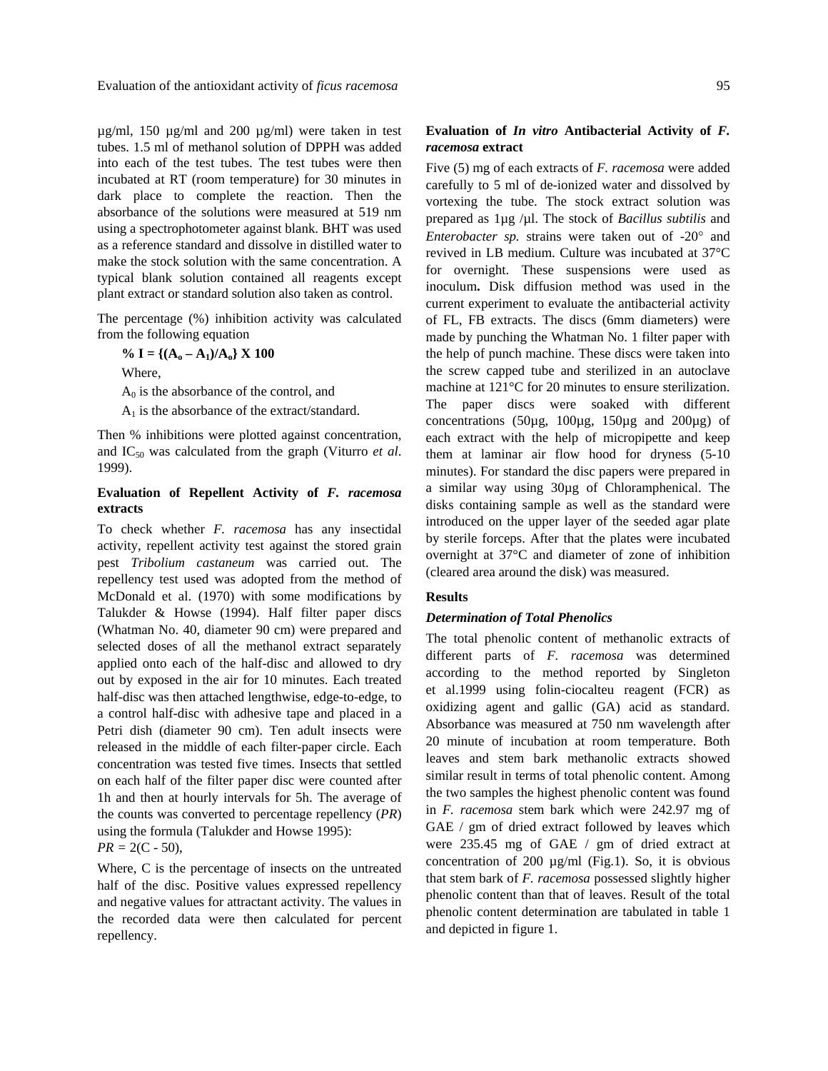µg/ml, 150 µg/ml and 200 µg/ml) were taken in test tubes. 1.5 ml of methanol solution of DPPH was added into each of the test tubes. The test tubes were then incubated at RT (room temperature) for 30 minutes in dark place to complete the reaction. Then the absorbance of the solutions were measured at 519 nm using a spectrophotometer against blank. BHT was used as a reference standard and dissolve in distilled water to make the stock solution with the same concentration. A typical blank solution contained all reagents except plant extract or standard solution also taken as control.

The percentage (%) inhibition activity was calculated from the following equation

% **I** =  ${(A_0 - A_1)/A_0}$  **X** 100 Where,  $A_0$  is the absorbance of the control, and

 $A_1$  is the absorbance of the extract/standard.

Then % inhibitions were plotted against concentration, and IC50 was calculated from the graph (Viturro *et al*. 1999).

### **Evaluation of Repellent Activity of** *F. racemosa* **extracts**

To check whether *F. racemosa* has any insectidal activity, repellent activity test against the stored grain pest *Tribolium castaneum* was carried out. The repellency test used was adopted from the method of McDonald et al. (1970) with some modifications by Talukder & Howse (1994). Half filter paper discs (Whatman No. 40, diameter 90 cm) were prepared and selected doses of all the methanol extract separately applied onto each of the half-disc and allowed to dry out by exposed in the air for 10 minutes. Each treated half-disc was then attached lengthwise, edge-to-edge, to a control half-disc with adhesive tape and placed in a Petri dish (diameter 90 cm). Ten adult insects were released in the middle of each filter-paper circle. Each concentration was tested five times. Insects that settled on each half of the filter paper disc were counted after 1h and then at hourly intervals for 5h. The average of the counts was converted to percentage repellency (*PR*) using the formula (Talukder and Howse 1995):  $PR = 2(C - 50),$ 

Where, C is the percentage of insects on the untreated half of the disc. Positive values expressed repellency and negative values for attractant activity. The values in the recorded data were then calculated for percent repellency.

## **Evaluation of** *In vitro* **Antibacterial Activity of** *F. racemosa* **extract**

Five (5) mg of each extracts of *F. racemosa* were added carefully to 5 ml of de-ionized water and dissolved by vortexing the tube. The stock extract solution was prepared as 1µg /µl. The stock of *Bacillus subtilis* and *Enterobacter sp.* strains were taken out of -20° and revived in LB medium. Culture was incubated at 37°C for overnight. These suspensions were used as inoculum**.** Disk diffusion method was used in the current experiment to evaluate the antibacterial activity of FL, FB extracts. The discs (6mm diameters) were made by punching the Whatman No. 1 filter paper with the help of punch machine. These discs were taken into the screw capped tube and sterilized in an autoclave machine at 121°C for 20 minutes to ensure sterilization. The paper discs were soaked with different concentrations (50µg, 100µg, 150µg and 200µg) of each extract with the help of micropipette and keep them at laminar air flow hood for dryness (5-10 minutes). For standard the disc papers were prepared in a similar way using 30µg of Chloramphenical. The disks containing sample as well as the standard were introduced on the upper layer of the seeded agar plate by sterile forceps. After that the plates were incubated overnight at 37°C and diameter of zone of inhibition (cleared area around the disk) was measured.

### **Results**

#### *Determination of Total Phenolics*

The total phenolic content of methanolic extracts of different parts of *F. racemosa* was determined according to the method reported by Singleton et al.1999 using folin-ciocalteu reagent (FCR) as oxidizing agent and gallic (GA) acid as standard. Absorbance was measured at 750 nm wavelength after 20 minute of incubation at room temperature. Both leaves and stem bark methanolic extracts showed similar result in terms of total phenolic content. Among the two samples the highest phenolic content was found in *F. racemosa* stem bark which were 242.97 mg of GAE / gm of dried extract followed by leaves which were 235.45 mg of GAE / gm of dried extract at concentration of 200 µg/ml (Fig.1). So, it is obvious that stem bark of *F. racemosa* possessed slightly higher phenolic content than that of leaves. Result of the total phenolic content determination are tabulated in table 1 and depicted in figure 1.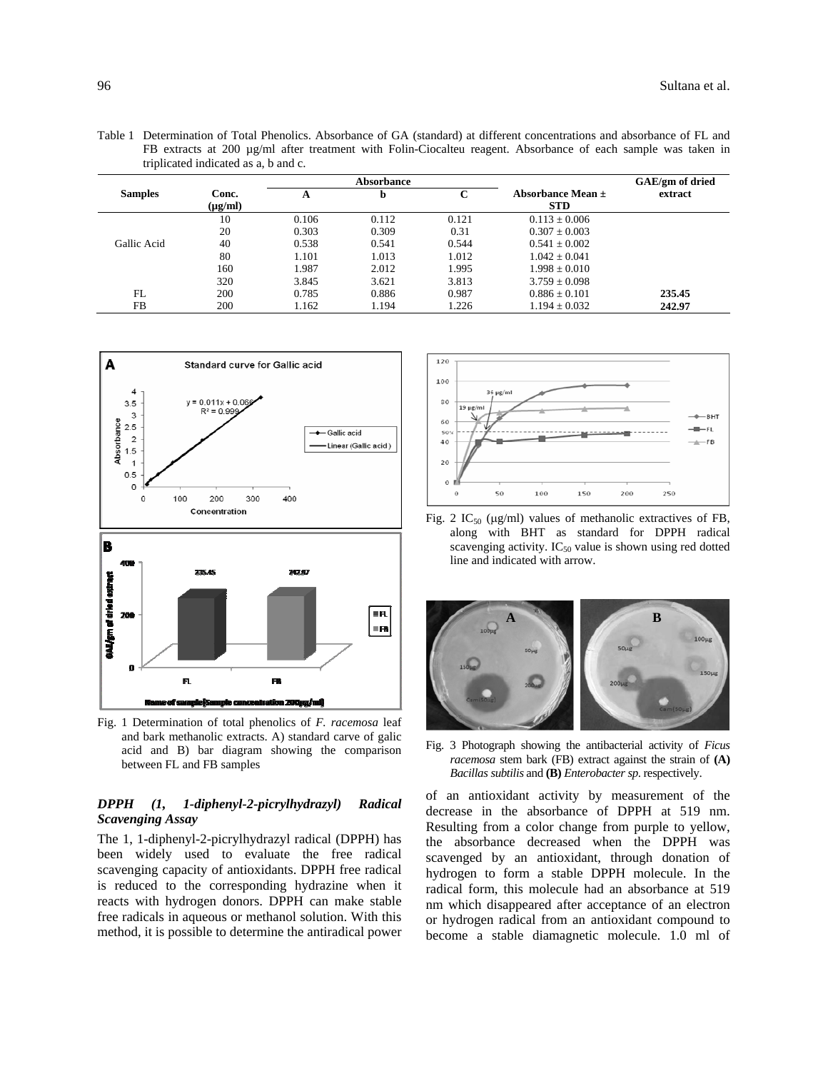| Table 1 Determination of Total Phenolics. Absorbance of GA (standard) at different concentrations and absorbance of FL and |
|----------------------------------------------------------------------------------------------------------------------------|
| FB extracts at 200 µg/ml after treatment with Folin-Ciocalteu reagent. Absorbance of each sample was taken in              |
| triplicated indicated as a, b and c.                                                                                       |

|                |              |       | Absorbance |       |                       | GAE/gm of dried |
|----------------|--------------|-------|------------|-------|-----------------------|-----------------|
| <b>Samples</b> | Conc.        | A     | <b>b</b>   |       | Absorbance Mean $\pm$ | extract         |
|                | $(\mu g/ml)$ |       |            |       | <b>STD</b>            |                 |
|                | 10           | 0.106 | 0.112      | 0.121 | $0.113 \pm 0.006$     |                 |
|                | 20           | 0.303 | 0.309      | 0.31  | $0.307 + 0.003$       |                 |
| Gallic Acid    | 40           | 0.538 | 0.541      | 0.544 | $0.541 \pm 0.002$     |                 |
|                | 80           | 1.101 | 1.013      | 1.012 | $1.042 + 0.041$       |                 |
|                | 160          | 1.987 | 2.012      | 1.995 | $1.998 \pm 0.010$     |                 |
|                | 320          | 3.845 | 3.621      | 3.813 | $3.759 \pm 0.098$     |                 |
| FL.            | 200          | 0.785 | 0.886      | 0.987 | $0.886 + 0.101$       | 235.45          |
| FB             | 200          | 1.162 | 1.194      | 1.226 | $1.194 \pm 0.032$     | 242.97          |



Fig. 1 Determination of total phenolics of *F. racemosa* leaf and bark methanolic extracts. A) standard carve of galic acid and B) bar diagram showing the comparison between FL and FB samples

### *DPPH (1, 1-diphenyl-2-picrylhydrazyl) Radical Scavenging Assay*

The 1, 1-diphenyl-2-picrylhydrazyl radical (DPPH) has been widely used to evaluate the free radical scavenging capacity of antioxidants. DPPH free radical is reduced to the corresponding hydrazine when it reacts with hydrogen donors. DPPH can make stable free radicals in aqueous or methanol solution. With this method, it is possible to determine the antiradical power



Fig. 2 IC<sub>50</sub> ( $\mu$ g/ml) values of methanolic extractives of FB, along with BHT as standard for DPPH radical scavenging activity.  $IC_{50}$  value is shown using red dotted line and indicated with arrow.



Fig. 3 Photograph showing the antibacterial activity of *Ficus racemosa* stem bark (FB) extract against the strain of **(A)** *Bacillas subtilis* and **(B)** *Enterobacter sp*. respectively.

of an antioxidant activity by measurement of the decrease in the absorbance of DPPH at 519 nm. Resulting from a color change from purple to yellow, the absorbance decreased when the DPPH was scavenged by an antioxidant, through donation of hydrogen to form a stable DPPH molecule. In the radical form, this molecule had an absorbance at 519 nm which disappeared after acceptance of an electron or hydrogen radical from an antioxidant compound to become a stable diamagnetic molecule. 1.0 ml of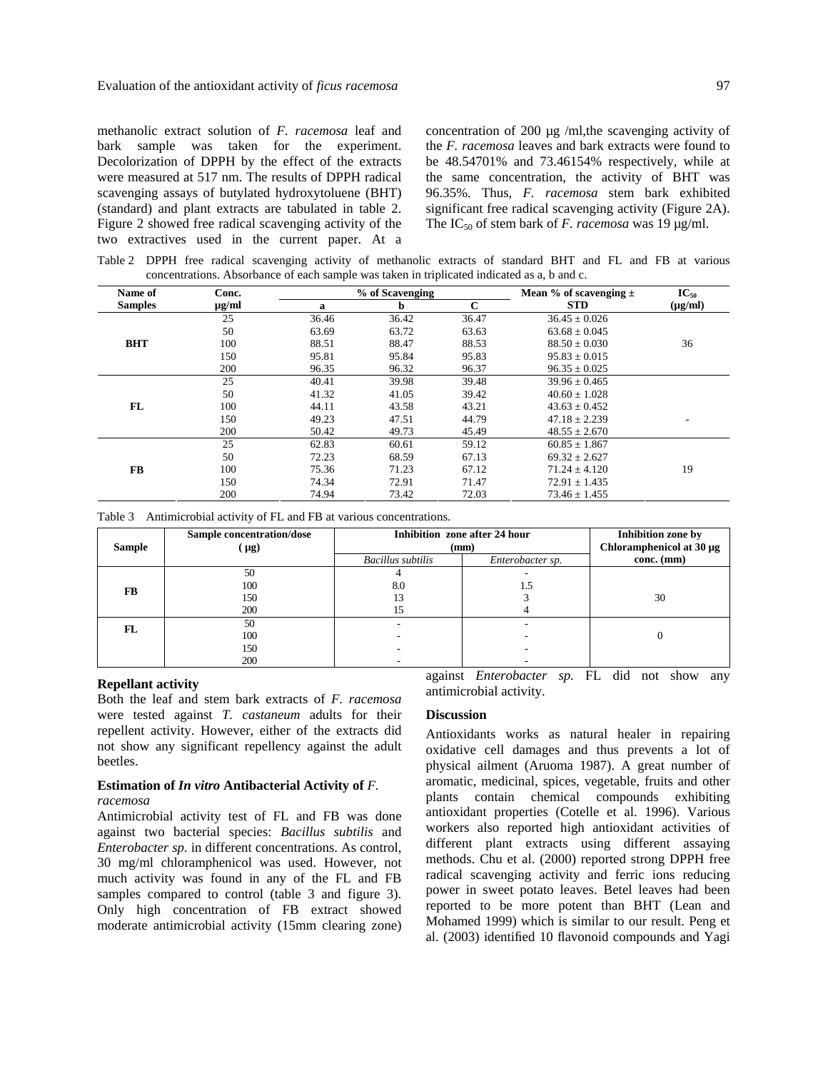methanolic extract solution of *F. racemosa* leaf and bark sample was taken for the experiment. Decolorization of DPPH by the effect of the extracts were measured at 517 nm. The results of DPPH radical scavenging assays of butylated hydroxytoluene (BHT) (standard) and plant extracts are tabulated in table 2. Figure 2 showed free radical scavenging activity of the two extractives used in the current paper. At a concentration of 200 µg /ml,the scavenging activity of the *F. racemosa* leaves and bark extracts were found to be 48.54701% and 73.46154% respectively, while at the same concentration, the activity of BHT was 96.35%. Thus, *F. racemosa* stem bark exhibited significant free radical scavenging activity (Figure 2A). The  $IC_{50}$  of stem bark of *F. racemosa* was 19 µg/ml.

Table 2 DPPH free radical scavenging activity of methanolic extracts of standard BHT and FL and FB at various concentrations. Absorbance of each sample was taken in triplicated indicated as a, b and c.

| Name of        | Conc.      |       | % of Scavenging |              | Mean % of scavenging $\pm$ | $IC_{50}$    |
|----------------|------------|-------|-----------------|--------------|----------------------------|--------------|
| <b>Samples</b> | $\mu$ g/ml | a     | b               | $\mathbf{C}$ | <b>STD</b>                 | $(\mu g/ml)$ |
|                | 25         | 36.46 | 36.42           | 36.47        | $36.45 \pm 0.026$          |              |
|                | 50         | 63.69 | 63.72           | 63.63        | $63.68 \pm 0.045$          |              |
| <b>BHT</b>     | 100        | 88.51 | 88.47           | 88.53        | $88.50 \pm 0.030$          | 36           |
|                | 150        | 95.81 | 95.84           | 95.83        | $95.83 \pm 0.015$          |              |
|                | 200        | 96.35 | 96.32           | 96.37        | $96.35 \pm 0.025$          |              |
|                | 25         | 40.41 | 39.98           | 39.48        | $39.96 \pm 0.465$          |              |
|                | 50         | 41.32 | 41.05           | 39.42        | $40.60 + 1.028$            |              |
| FL             | 100        | 44.11 | 43.58           | 43.21        | $43.63 \pm 0.452$          |              |
|                | 150        | 49.23 | 47.51           | 44.79        | $47.18 \pm 2.239$          |              |
|                | 200        | 50.42 | 49.73           | 45.49        | $48.55 \pm 2.670$          |              |
|                | 25         | 62.83 | 60.61           | 59.12        | $60.85 \pm 1.867$          |              |
|                | 50         | 72.23 | 68.59           | 67.13        | $69.32 \pm 2.627$          |              |
| <b>FB</b>      | 100        | 75.36 | 71.23           | 67.12        | $71.24 \pm 4.120$          | 19           |
|                | 150        | 74.34 | 72.91           | 71.47        | $72.91 \pm 1.435$          |              |
|                | 200        | 74.94 | 73.42           | 72.03        | $73.46 \pm 1.455$          |              |

Table 3 Antimicrobial activity of FL and FB at various concentrations.

|               | Sample concentration/dose | Inhibition zone after 24 hour | Inhibition zone by       |              |
|---------------|---------------------------|-------------------------------|--------------------------|--------------|
| <b>Sample</b> | $(\mu g)$                 | (mm)                          | Chloramphenicol at 30 µg |              |
|               |                           | <b>Bacillus</b> subtilis      | Enterobacter sp.         | $conc.$ (mm) |
|               | 50                        |                               | -                        |              |
| FB            | 100                       | 8.0                           |                          |              |
|               | 150                       | 13                            |                          | 30           |
|               | 200                       | 15                            |                          |              |
| FL            | 50                        |                               |                          |              |
|               | 100                       |                               |                          |              |
|               | 150                       |                               |                          |              |
|               | 200                       | $\overline{\phantom{a}}$      |                          |              |

### **Repellant activity**

Both the leaf and stem bark extracts of *F. racemosa* were tested against *T. castaneum* adults for their repellent activity. However, either of the extracts did not show any significant repellency against the adult beetles.

### **Estimation of** *In vitro* **Antibacterial Activity of** *F. racemosa*

Antimicrobial activity test of FL and FB was done against two bacterial species: *Bacillus subtilis* and *Enterobacter sp.* in different concentrations. As control, 30 mg/ml chloramphenicol was used. However, not much activity was found in any of the FL and FB samples compared to control (table 3 and figure 3). Only high concentration of FB extract showed moderate antimicrobial activity (15mm clearing zone)

against *Enterobacter sp.* FL did not show any antimicrobial activity.

### **Discussion**

Antioxidants works as natural healer in repairing oxidative cell damages and thus prevents a lot of physical ailment (Aruoma 1987). A great number of aromatic, medicinal, spices, vegetable, fruits and other plants contain chemical compounds exhibiting antioxidant properties (Cotelle et al. 1996). Various workers also reported high antioxidant activities of different plant extracts using different assaying methods. Chu et al. (2000) reported strong DPPH free radical scavenging activity and ferric ions reducing power in sweet potato leaves. Betel leaves had been reported to be more potent than BHT (Lean and Mohamed 1999) which is similar to our result. Peng et al. (2003) identified 10 flavonoid compounds and Yagi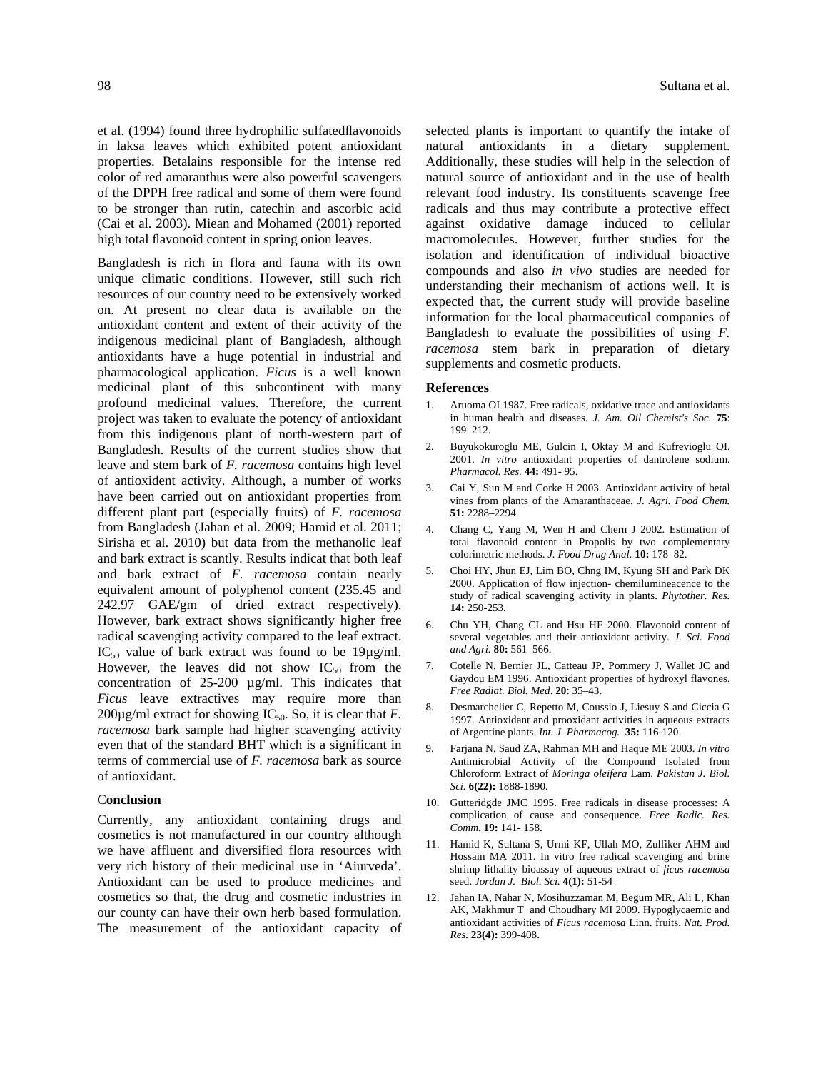et al. (1994) found three hydrophilic sulfatedflavonoids in laksa leaves which exhibited potent antioxidant properties. Betalains responsible for the intense red color of red amaranthus were also powerful scavengers of the DPPH free radical and some of them were found to be stronger than rutin, catechin and ascorbic acid (Cai et al. 2003). Miean and Mohamed (2001) reported high total flavonoid content in spring onion leaves.

Bangladesh is rich in flora and fauna with its own unique climatic conditions. However, still such rich resources of our country need to be extensively worked on. At present no clear data is available on the antioxidant content and extent of their activity of the indigenous medicinal plant of Bangladesh, although antioxidants have a huge potential in industrial and pharmacological application. *Ficus* is a well known medicinal plant of this subcontinent with many profound medicinal values. Therefore, the current project was taken to evaluate the potency of antioxidant from this indigenous plant of north-western part of Bangladesh. Results of the current studies show that leave and stem bark of *F. racemosa* contains high level of antioxident activity. Although, a number of works have been carried out on antioxidant properties from different plant part (especially fruits) of *F. racemosa* from Bangladesh (Jahan et al. 2009; Hamid et al. 2011; Sirisha et al. 2010) but data from the methanolic leaf and bark extract is scantly. Results indicat that both leaf and bark extract of *F. racemosa* contain nearly equivalent amount of polyphenol content (235.45 and 242.97 GAE/gm of dried extract respectively). However, bark extract shows significantly higher free radical scavenging activity compared to the leaf extract.  $IC_{50}$  value of bark extract was found to be 19 $\mu$ g/ml. However, the leaves did not show  $IC_{50}$  from the concentration of 25-200 µg/ml. This indicates that *Ficus* leave extractives may require more than  $200\mu$ g/ml extract for showing IC<sub>50</sub>. So, it is clear that *F*. *racemosa* bark sample had higher scavenging activity even that of the standard BHT which is a significant in terms of commercial use of *F. racemosa* bark as source of antioxidant.

### C**onclusion**

Currently, any antioxidant containing drugs and cosmetics is not manufactured in our country although we have affluent and diversified flora resources with very rich history of their medicinal use in 'Aiurveda'. Antioxidant can be used to produce medicines and cosmetics so that, the drug and cosmetic industries in our county can have their own herb based formulation. The measurement of the antioxidant capacity of selected plants is important to quantify the intake of natural antioxidants in a dietary supplement. Additionally, these studies will help in the selection of natural source of antioxidant and in the use of health relevant food industry. Its constituents scavenge free radicals and thus may contribute a protective effect against oxidative damage induced to cellular macromolecules. However, further studies for the isolation and identification of individual bioactive compounds and also *in vivo* studies are needed for understanding their mechanism of actions well. It is expected that, the current study will provide baseline information for the local pharmaceutical companies of Bangladesh to evaluate the possibilities of using *F. racemosa* stem bark in preparation of dietary supplements and cosmetic products.

#### **References**

- 1. Aruoma OI 1987. Free radicals, oxidative trace and antioxidants in human health and diseases. *J. Am. Oil Chemist's Soc.* **75**: 199–212.
- 2. Buyukokuroglu ME, Gulcin I, Oktay M and Kufrevioglu OI. 2001. *In vitro* antioxidant properties of dantrolene sodium. *Pharmacol. Res.* **44:** 491- 95.
- 3. Cai Y, Sun M and Corke H 2003. Antioxidant activity of betal vines from plants of the Amaranthaceae. *J. Agri. Food Chem.*  **51:** 2288–2294.
- 4. Chang C, Yang M, Wen H and Chern J 2002. Estimation of total flavonoid content in Propolis by two complementary colorimetric methods. *J. Food Drug Anal.* **10:** 178–82.
- 5. Choi HY, Jhun EJ, Lim BO, Chng IM, Kyung SH and Park DK 2000. Application of flow injection- chemilumineacence to the study of radical scavenging activity in plants. *Phytother. Res.*  **14:** 250-253.
- 6. Chu YH, Chang CL and Hsu HF 2000. Flavonoid content of several vegetables and their antioxidant activity. *J. Sci. Food and Agri.* **80:** 561–566.
- 7. Cotelle N, Bernier JL, Catteau JP, Pommery J, Wallet JC and Gaydou EM 1996. Antioxidant properties of hydroxyl flavones. *Free Radiat. Biol. Med*. **20**: 35–43.
- 8. Desmarchelier C, Repetto M, Coussio J, Liesuy S and Ciccia G 1997. Antioxidant and prooxidant activities in aqueous extracts of Argentine plants. *Int. J. Pharmacog.* **35:** 116-120.
- 9. Farjana N, Saud ZA, Rahman MH and Haque ME 2003. *In vitro* Antimicrobial Activity of the Compound Isolated from Chloroform Extract of *Moringa oleifera* Lam. *Pakistan J. Biol. Sci.* **6(22):** 1888-1890.
- 10. Gutteridgde JMC 1995. Free radicals in disease processes: A complication of cause and consequence. *Free Radic. Res. Comm*. **19:** 141- 158.
- 11. Hamid K, Sultana S, Urmi KF, Ullah MO, Zulfiker AHM and Hossain MA 2011. In vitro free radical scavenging and brine shrimp lithality bioassay of aqueous extract of *ficus racemosa* seed. *Jordan J. Biol. Sci.* **4(1):** 51-54
- 12. Jahan IA, Nahar N, Mosihuzzaman M, Begum MR, Ali L, Khan AK, Makhmur T and Choudhary MI 2009. Hypoglycaemic and antioxidant activities of *Ficus racemosa* Linn. fruits. *Nat. Prod. Res.* **23(4):** 399-408.